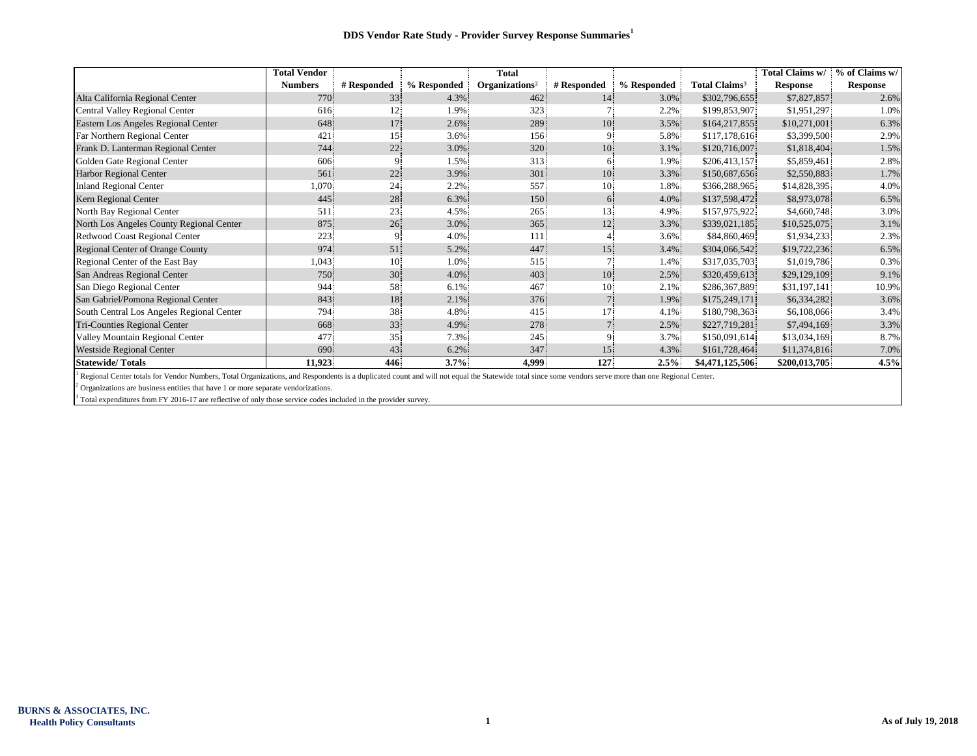|                                           | <b>Total Vendor</b> |             |             | <b>Total</b>               |                 |             |                           | Total Claims w/ | % of Claims w/  |
|-------------------------------------------|---------------------|-------------|-------------|----------------------------|-----------------|-------------|---------------------------|-----------------|-----------------|
|                                           | <b>Numbers</b>      | # Responded | % Responded | Organizations <sup>2</sup> | # Responded     | % Responded | Total Claims <sup>3</sup> | <b>Response</b> | <b>Response</b> |
| Alta California Regional Center           | 770                 | 33          | 4.3%        | 462                        | 14 <sup>1</sup> | 3.0%        | \$302,796,655             | \$7,827,857     | 2.6%            |
| Central Valley Regional Center            | 616                 | 12.         | 1.9%        | 323                        |                 | 2.2%        | \$199,853,907             | \$1,951,297     | 1.0%            |
| Eastern Los Angeles Regional Center       | 648                 | 17          | $2.6\%$     | 289                        | 10 <sup>°</sup> | 3.5%        | \$164,217,855             | \$10,271,001    | 6.3%            |
| Far Northern Regional Center              | 421                 | 15.         | $3.6\%$     | 156                        | 9.              | 5.8%        | \$117,178,616             | \$3,399,500     | 2.9%            |
| Frank D. Lanterman Regional Center        | 744                 | 22          | 3.0%        | 320                        | 10              | 3.1%        | \$120,716,007             | \$1,818,404     | 1.5%            |
| Golden Gate Regional Center               | 606                 | 9           | 1.5%        | 313                        | 6.              | 1.9%        | \$206,413,157             | \$5,859,461     | 2.8%            |
| <b>Harbor Regional Center</b>             | 561                 | 22          | 3.9%        | 301                        | 10 <sup>1</sup> | 3.3%        | \$150,687,656             | \$2,550,883     | 1.7%            |
| <b>Inland Regional Center</b>             | 1,070               | 24          | 2.2%        | 557                        | 10 <sup>°</sup> | 1.8%        | \$366,288,965             | \$14,828,395    | 4.0%            |
| Kern Regional Center                      | 445                 | 28          | 6.3%        | 150                        | 6.              | 4.0%        | \$137,598,472             | \$8,973,078     | 6.5%            |
| North Bay Regional Center                 | 511                 | 23          | 4.5%        | 265                        | 13              | 4.9%        | \$157,975,922             | \$4,660,748     | 3.0%            |
| North Los Angeles County Regional Center  | 875                 | 26          | 3.0%        | 365                        | 12              | 3.3%        | \$339,021,185             | \$10,525,075    | 3.1%            |
| Redwood Coast Regional Center             | 223                 | 9.          | $4.0\%$     | 111                        |                 | $3.6\%$     | \$84,860,469              | \$1,934,233     | 2.3%            |
| <b>Regional Center of Orange County</b>   | 974                 | 51          | 5.2%        | 447                        | 15              | 3.4%        | \$304,066,542             | \$19,722,236    | 6.5%            |
| Regional Center of the East Bay           | 1,043               | 10.         | 1.0%        | 515                        |                 | 1.4%        | \$317,035,703             | \$1,019,786     | 0.3%            |
| San Andreas Regional Center               | 750                 | 30          | 4.0%        | 403                        | 10              | 2.5%        | \$320,459,613             | \$29,129,109    | 9.1%            |
| San Diego Regional Center                 | 944                 | 58          | 6.1%        | 467                        | 10 <sup>1</sup> | 2.1%        | \$286,367,889             | \$31,197,141    | 10.9%           |
| San Gabriel/Pomona Regional Center        | 843                 | 18          | 2.1%        | 376                        |                 | 1.9%        | \$175,249,171             | \$6,334,282     | 3.6%            |
| South Central Los Angeles Regional Center | 794                 | 38          | 4.8%        | 415                        | 17.             | 4.1%        | \$180,798,363             | \$6,108,066     | 3.4%            |
| Tri-Counties Regional Center              | 668                 | 33          | 4.9%        | 278                        |                 | 2.5%        | \$227,719,281             | \$7,494,169     | 3.3%            |
| Valley Mountain Regional Center           | 477                 | 35          | 7.3%        | 245                        | 9.              | 3.7%        | \$150,091,614             | \$13,034,169    | 8.7%            |
| <b>Westside Regional Center</b>           | 690                 | 43          | 6.2%        | 347                        | 15              | 4.3%        | \$161,728,464             | \$11,374,816    | 7.0%            |
| <b>Statewide/Totals</b>                   | 11,923              | 446         | 3.7%        | 4,999                      | 127             | $2.5\%$     | \$4,471,125,506           | \$200,013,705   | 4.5%            |

<sup>1</sup> Regional Center totals for Vendor Numbers, Total Organizations, and Respondents is a duplicated count and will not equal the Statewide total since some vendors serve more than one Regional Center.

 $2$  Organizations are business entities that have 1 or more separate vendorizations.

<sup>3</sup> Total expenditures from FY 2016-17 are reflective of only those service codes included in the provider survey.